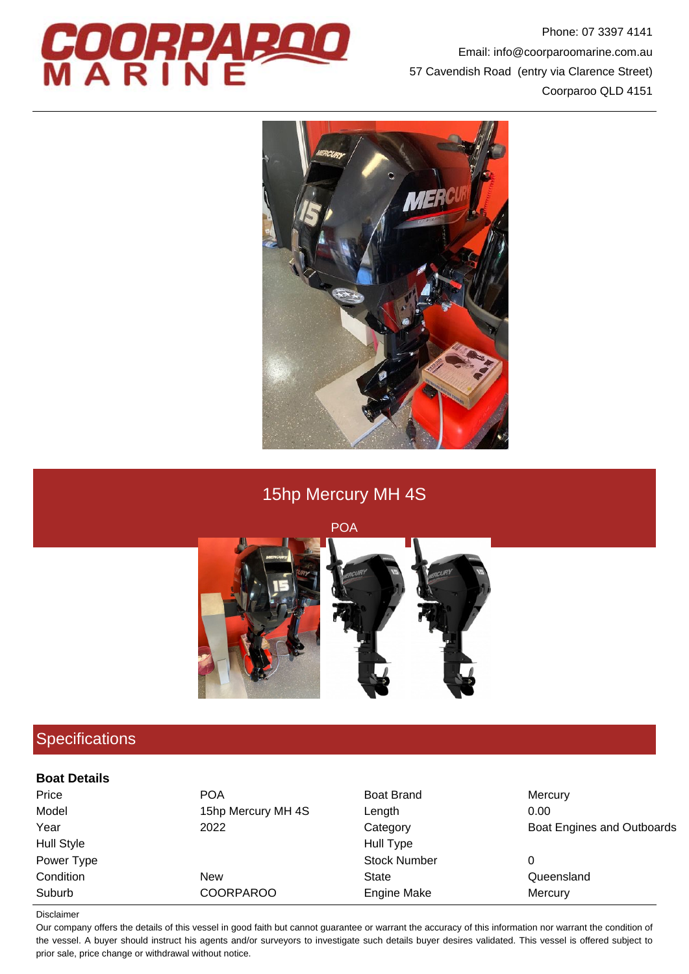

Phone: 07 3397 4141 Email: info@coorparoomarine.com.au 57 Cavendish Road (entry via Clarence Street) Coorparoo QLD 4151



# 15hp Mercury MH 4S

POA



## **Specifications**

#### **Boat Details**

| Price             | <b>POA</b>         | <b>Boat Brand</b>   | Mercury                    |
|-------------------|--------------------|---------------------|----------------------------|
| Model             | 15hp Mercury MH 4S | Length              | 0.00                       |
| Year              | 2022               | Category            | Boat Engines and Outboards |
| <b>Hull Style</b> |                    | Hull Type           |                            |
| Power Type        |                    | <b>Stock Number</b> | 0                          |
| Condition         | <b>New</b>         | State               | Queensland                 |
| Suburb            | <b>COORPAROO</b>   | Engine Make         | Mercury                    |

#### Disclaimer

Our company offers the details of this vessel in good faith but cannot guarantee or warrant the accuracy of this information nor warrant the condition of the vessel. A buyer should instruct his agents and/or surveyors to investigate such details buyer desires validated. This vessel is offered subject to prior sale, price change or withdrawal without notice.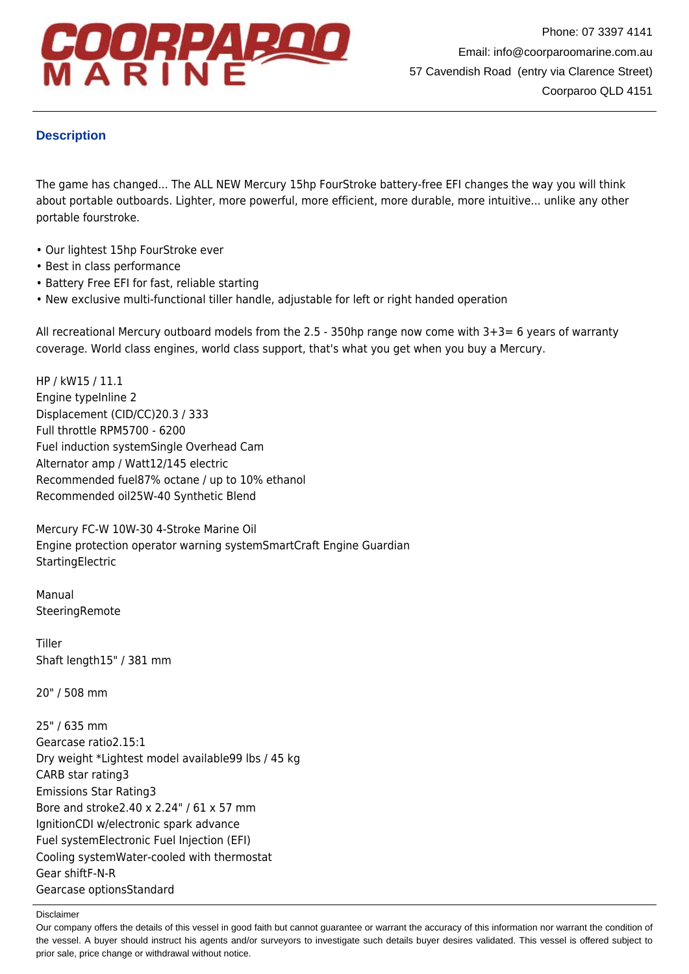

### **Description**

The game has changed... The ALL NEW Mercury 15hp FourStroke battery-free EFI changes the way you will think about portable outboards. Lighter, more powerful, more efficient, more durable, more intuitive... unlike any other portable fourstroke.

- Our lightest 15hp FourStroke ever
- Best in class performance
- Battery Free EFI for fast, reliable starting
- New exclusive multi-functional tiller handle, adjustable for left or right handed operation

All recreational Mercury outboard models from the 2.5 - 350hp range now come with 3+3= 6 years of warranty coverage. World class engines, world class support, that's what you get when you buy a Mercury.

HP / kW15 / 11.1 Engine typeInline 2 Displacement (CID/CC)20.3 / 333 Full throttle RPM5700 - 6200 Fuel induction systemSingle Overhead Cam Alternator amp / Watt12/145 electric Recommended fuel87% octane / up to 10% ethanol Recommended oil25W-40 Synthetic Blend

Mercury FC-W 10W-30 4-Stroke Marine Oil Engine protection operator warning systemSmartCraft Engine Guardian **StartingElectric** 

Manual **SteeringRemote** 

Tiller Shaft length15" / 381 mm

20" / 508 mm

25" / 635 mm Gearcase ratio2.15:1 Dry weight \*Lightest model available99 lbs / 45 kg CARB star rating3 Emissions Star Rating3 Bore and stroke2.40 x 2.24" / 61 x 57 mm IgnitionCDI w/electronic spark advance Fuel systemElectronic Fuel Injection (EFI) Cooling systemWater-cooled with thermostat Gear shiftF-N-R Gearcase optionsStandard

Disclaimer

Our company offers the details of this vessel in good faith but cannot guarantee or warrant the accuracy of this information nor warrant the condition of the vessel. A buyer should instruct his agents and/or surveyors to investigate such details buyer desires validated. This vessel is offered subject to prior sale, price change or withdrawal without notice.